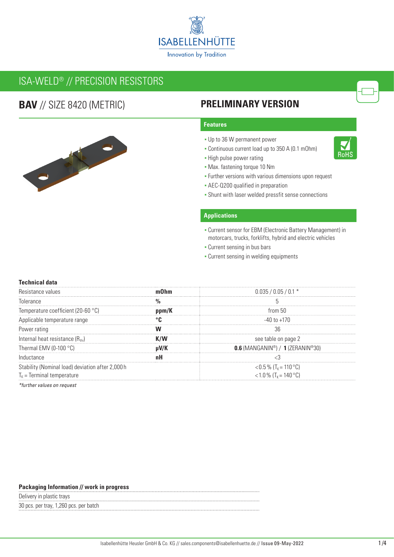

# ISA-WELD® // PRECISION RESISTORS

## **BAV** // SIZE 8420 (METRIC)



### **PRELIMINARY VERSION**

### **Features**

- Up to 36 W permanent power
- Continuous current load up to 350 A (0.1 mOhm)
- **-** High pulse power rating
- Max. fastening torque 10 Nm
- Further versions with various dimensions upon request
- **AEC-Q200 qualified in preparation**
- **Shunt with laser welded pressfit sense connections**

### **Applications**

- Current sensor for EBM (Electronic Battery Management) in motorcars, trucks, forklifts, hybrid and electric vehicles
- Current sensing in bus bars
- **Current sensing in welding equipments**

### **Technical data**

| Resistance values                               |  | $0.035 / 0.05 / 0.1$ *              |  |  |  |  |
|-------------------------------------------------|--|-------------------------------------|--|--|--|--|
| Tolerance                                       |  |                                     |  |  |  |  |
| remperature coefficient (20-60 °C)              |  | trom 50                             |  |  |  |  |
| Applicable temperature range                    |  | -40 to +170                         |  |  |  |  |
| Power rating                                    |  |                                     |  |  |  |  |
| Internal heat resistance (Rthi)                 |  | see table on page 2                 |  |  |  |  |
| Thermal EMV (0-100 $\degree$ C)                 |  | $0.6$ (MANGANIN®) / 1 (ZERANIN®30)  |  |  |  |  |
| Inductance                                      |  |                                     |  |  |  |  |
| Stability (Nominal load) deviation after 2,000h |  | $<$ 0.5 % (T <sub>K</sub> = 110 °C) |  |  |  |  |
| $T_k$ = Terminal temperature                    |  | <1.0 % $(T_k = 140 °C)$             |  |  |  |  |

*\*further values on request*

#### **Packaging Information // work in progress**

Delivery in plastic trays

30 pcs. per tray, 1,260 pcs. per batch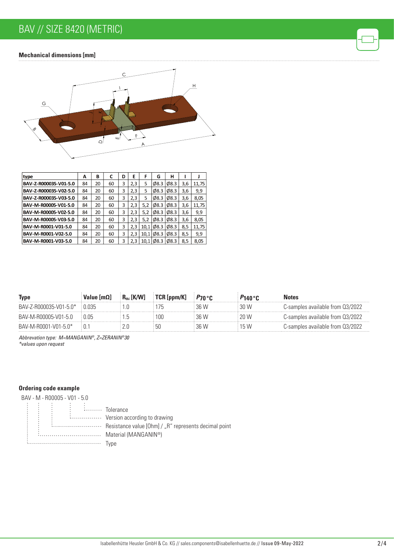## BAV // SIZE 8420 (METRIC)

### **Mechanical dimensions [mm]**



<u>c</u>

| type                  | А  | в  | C  | D | Е   | F    | G                 | н                 |     |       |
|-----------------------|----|----|----|---|-----|------|-------------------|-------------------|-----|-------|
| BAV-Z-R000035-V01-5.0 | 84 | 20 | 60 | 3 | 2,3 | 5    | $\varnothing$ 8.3 | 08.3              | 3,6 | 11,75 |
| BAV-Z-R000035-V02-5.0 | 84 | 20 | 60 | 3 | 2,3 | 5    | $\varnothing$ 8.3 | $\emptyset$ 8.3   | 3.6 | 9,9   |
| BAV-Z-R000035-V03-5.0 | 84 | 20 | 60 | 3 | 2,3 | 5    | Ø8.3              | $\emptyset$ 8.3   | 3,6 | 8,05  |
| BAV-M-R00005-V01-5.0  | 84 | 20 | 60 | 3 | 2,3 | 5,2  | $\emptyset$ 8.3   | $\varphi$ 8.3     | 3,6 | 11,75 |
| BAV-M-R00005-V02-5.0  | 84 | 20 | 60 | 3 | 2,3 | 5,2  | Ø8.3              | $\varnothing$ 8.3 | 3,6 | 9,9   |
| BAV-M-R00005-V03-5.0  | 84 | 20 | 60 | 3 | 2,3 | 5,2  | $\varnothing$ 8.3 | Ø8.3              | 3,6 | 8,05  |
| BAV-M-R0001-V01-5.0   | 84 | 20 | 60 | 3 | 2,3 | 10.1 | $\emptyset$ 8.3   | $\emptyset$ 8.3   | 8,5 | 11,75 |
| BAV-M-R0001-V02-5.0   | 84 | 20 | 60 | 3 | 2,3 | 10.1 | $\varnothing$ 8.3 | $\varphi$ 8.3     | 8,5 | 9,9   |
| BAV-M-R0001-V03-5.0   | 84 | 20 | 60 | 3 | 2.3 | 10.1 | $\varnothing$ 8.3 | $\varphi$ 8.3     | 8.5 | 8,05  |

|  |                       |  | Notes                                 |
|--|-----------------------|--|---------------------------------------|
|  |                       |  | 3-samples available from Q3/2022      |
|  | OC                    |  | S-samples available from 03/2022      |
|  |                       |  | : Samples available from L<br>U377077 |
|  | $R_{\text{th}}$ [K/W] |  |                                       |

*Abbrevation type: M=MANGANIN®, Z=ZERANIN®30 \*values upon request*

### **Ordering code example**

BAV - M - R00005 - V01 - 5.0 ÷ :<br>:........ Tolerance ÷ :................ Version according to drawing Resistance value [Ohm] / "R" represents decimal point Material (MANGANIN®) Type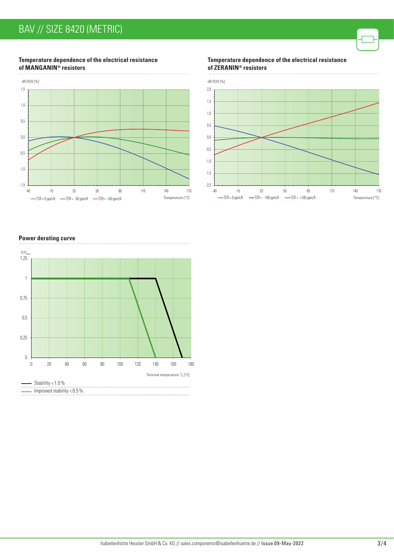### **Temperature dependence of the electrical resistance of MANGANIN® resistors**



**Temperature dependence of the electrical resistance of ZERANIN® resistors**



### **Power derating curve**